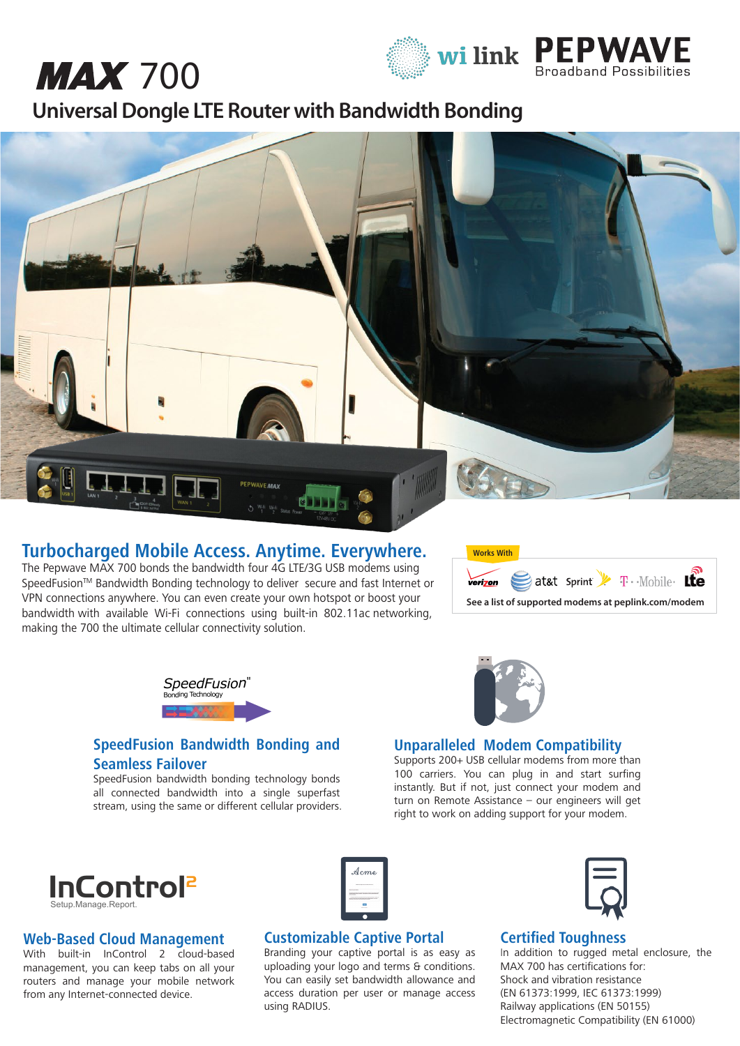# **MAX 700**



# **Universal Dongle LTE Router with Bandwidth Bonding**



## **Turbocharged Mobile Access. Anytime. Everywhere.**

The Pepwave MAX 700 bonds the bandwidth four 4G LTE/3G USB modems using SpeedFusion™ Bandwidth Bonding technology to deliver secure and fast Internet or VPN connections anywhere. You can even create your own hotspot or boost your bandwidth with available Wi-Fi connections using built-in 802.11ac networking, making the 700 the ultimate cellular connectivity solution.





## **SpeedFusion Bandwidth Bonding and Seamless Failover**

SpeedFusion bandwidth bonding technology bonds all connected bandwidth into a single superfast stream, using the same or different cellular providers.



## **Unparalleled Modem Compatibility**

Supports 200+ USB cellular modems from more than 100 carriers. You can plug in and start surfing instantly. But if not, just connect your modem and turn on Remote Assistance – our engineers will get right to work on adding support for your modem.



## **Web-Based Cloud Management**

With built-in InControl 2 cloud-based management, you can keep tabs on all your routers and manage your mobile network from any Internet-connected device.

|        | Acme                                                                        |
|--------|-----------------------------------------------------------------------------|
|        |                                                                             |
| ᄄ      |                                                                             |
| ------ | <b>WASHINGTON</b><br><b>STATISTICS</b> IN A 1990 FOR THE 2000<br>---------- |
|        |                                                                             |

## **Customizable Captive Portal**

Branding your captive portal is as easy as uploading your logo and terms & conditions. You can easily set bandwidth allowance and access duration per user or manage access using RADIUS.



## **Certified Toughness**

In addition to rugged metal enclosure, the MAX 700 has certifications for: Shock and vibration resistance (EN 61373:1999, IEC 61373:1999) Railway applications (EN 50155) Electromagnetic Compatibility (EN 61000)